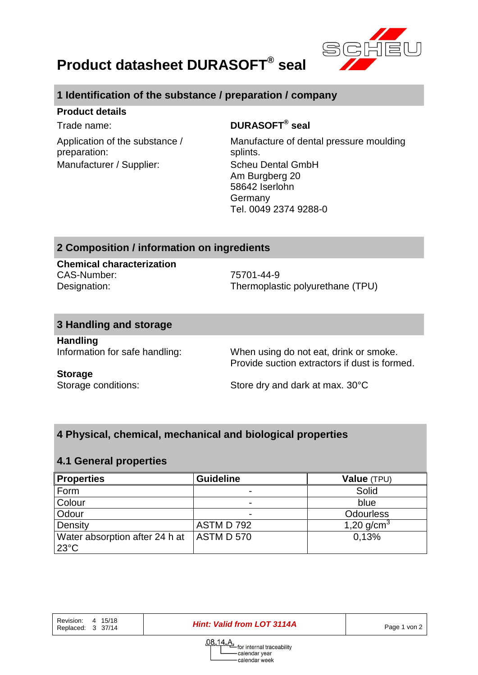

# **Product datasheet DURASOFT® seal**

## **1 Identification of the substance / preparation / company**

#### **Product details**

Application of the substance / preparation: Manufacturer / Supplier: Scheu Dental GmbH

## Trade name: **DURASOFT® seal**

Manufacture of dental pressure moulding splints. Am Burgberg 20 58642 Iserlohn Germany Tel. 0049 2374 9288-0

### **2 Composition / information on ingredients**

**Chemical characterization** CAS-Number: 75701-44-9

Designation: Thermoplastic polyurethane (TPU)

#### **3 Handling and storage**

**Handling**

Information for safe handling: When using do not eat, drink or smoke. Provide suction extractors if dust is formed.

#### **Storage**

Storage conditions: Store dry and dark at max. 30°C

# **4 Physical, chemical, mechanical and biological properties**

#### **4.1 General properties**

| <b>Properties</b>                                | <b>Guideline</b> | Value (TPU)      |
|--------------------------------------------------|------------------|------------------|
| Form                                             |                  | Solid            |
| Colour                                           |                  | blue             |
| Odour                                            |                  | <b>Odourless</b> |
| Density                                          | ASTM D 792       | 1,20 $q/cm^{3}$  |
| Water absorption after 24 h at<br>$23^{\circ}$ C | <b>ASTMD570</b>  | 0.13%            |

Revision: 4 15/18<br>Replaced: 3 37/14

**Hint: Valid from LOT 3114A** Page 1 von 2